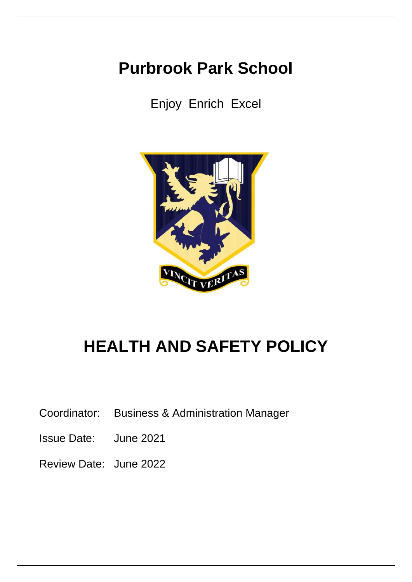# **Purbrook Park School**

Enjoy Enrich Excel



# **HEALTH AND SAFETY POLICY**

Coordinator: Business & Administration Manager

Issue Date: June 2021

Review Date: June 2022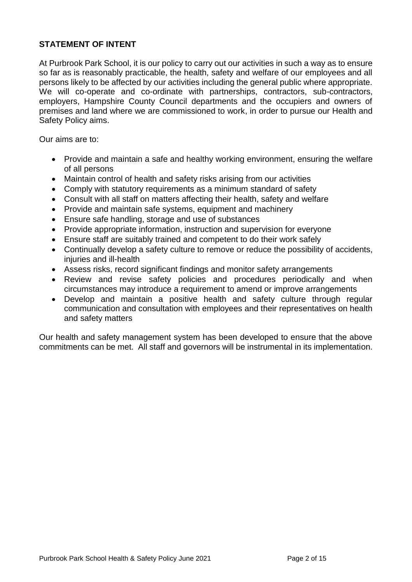# **STATEMENT OF INTENT**

At Purbrook Park School, it is our policy to carry out our activities in such a way as to ensure so far as is reasonably practicable, the health, safety and welfare of our employees and all persons likely to be affected by our activities including the general public where appropriate. We will co-operate and co-ordinate with partnerships, contractors, sub-contractors, employers, Hampshire County Council departments and the occupiers and owners of premises and land where we are commissioned to work, in order to pursue our Health and Safety Policy aims.

Our aims are to:

- Provide and maintain a safe and healthy working environment, ensuring the welfare of all persons
- Maintain control of health and safety risks arising from our activities
- Comply with statutory requirements as a minimum standard of safety
- Consult with all staff on matters affecting their health, safety and welfare
- Provide and maintain safe systems, equipment and machinery
- Ensure safe handling, storage and use of substances
- Provide appropriate information, instruction and supervision for everyone
- Ensure staff are suitably trained and competent to do their work safely
- Continually develop a safety culture to remove or reduce the possibility of accidents, injuries and ill-health
- Assess risks, record significant findings and monitor safety arrangements
- Review and revise safety policies and procedures periodically and when circumstances may introduce a requirement to amend or improve arrangements
- Develop and maintain a positive health and safety culture through regular communication and consultation with employees and their representatives on health and safety matters

Our health and safety management system has been developed to ensure that the above commitments can be met. All staff and governors will be instrumental in its implementation.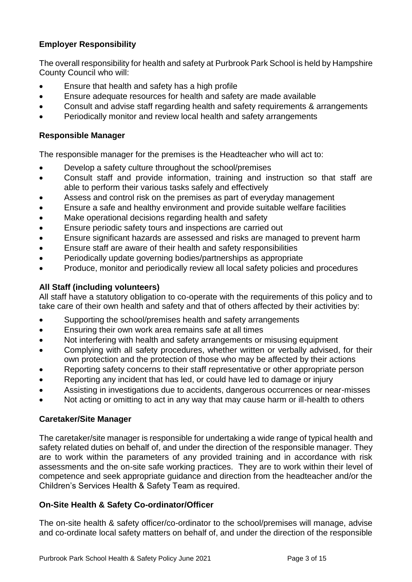# **Employer Responsibility**

The overall responsibility for health and safety at Purbrook Park School is held by Hampshire County Council who will:

- Ensure that health and safety has a high profile
- Ensure adequate resources for health and safety are made available
- Consult and advise staff regarding health and safety requirements & arrangements
- Periodically monitor and review local health and safety arrangements

# **Responsible Manager**

The responsible manager for the premises is the Headteacher who will act to:

- Develop a safety culture throughout the school/premises
- Consult staff and provide information, training and instruction so that staff are able to perform their various tasks safely and effectively
- Assess and control risk on the premises as part of everyday management
- Ensure a safe and healthy environment and provide suitable welfare facilities
- Make operational decisions regarding health and safety
- Ensure periodic safety tours and inspections are carried out
- Ensure significant hazards are assessed and risks are managed to prevent harm
- Ensure staff are aware of their health and safety responsibilities
- Periodically update governing bodies/partnerships as appropriate
- Produce, monitor and periodically review all local safety policies and procedures

# **All Staff (including volunteers)**

All staff have a statutory obligation to co-operate with the requirements of this policy and to take care of their own health and safety and that of others affected by their activities by:

- Supporting the school/premises health and safety arrangements
- Ensuring their own work area remains safe at all times
- Not interfering with health and safety arrangements or misusing equipment
- Complying with all safety procedures, whether written or verbally advised, for their own protection and the protection of those who may be affected by their actions
- Reporting safety concerns to their staff representative or other appropriate person
- Reporting any incident that has led, or could have led to damage or injury
- Assisting in investigations due to accidents, dangerous occurrences or near-misses
- Not acting or omitting to act in any way that may cause harm or ill-health to others

# **Caretaker/Site Manager**

The caretaker/site manager is responsible for undertaking a wide range of typical health and safety related duties on behalf of, and under the direction of the responsible manager. They are to work within the parameters of any provided training and in accordance with risk assessments and the on-site safe working practices. They are to work within their level of competence and seek appropriate guidance and direction from the headteacher and/or the Children's Services Health & Safety Team as required.

# **On-Site Health & Safety Co-ordinator/Officer**

The on-site health & safety officer/co-ordinator to the school/premises will manage, advise and co-ordinate local safety matters on behalf of, and under the direction of the responsible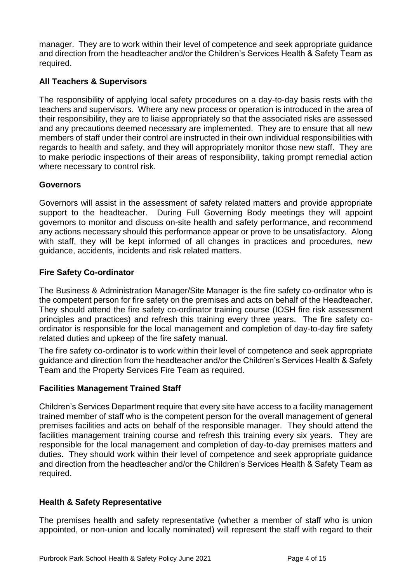manager. They are to work within their level of competence and seek appropriate guidance and direction from the headteacher and/or the Children's Services Health & Safety Team as required.

# **All Teachers & Supervisors**

The responsibility of applying local safety procedures on a day-to-day basis rests with the teachers and supervisors. Where any new process or operation is introduced in the area of their responsibility, they are to liaise appropriately so that the associated risks are assessed and any precautions deemed necessary are implemented. They are to ensure that all new members of staff under their control are instructed in their own individual responsibilities with regards to health and safety, and they will appropriately monitor those new staff. They are to make periodic inspections of their areas of responsibility, taking prompt remedial action where necessary to control risk.

# **Governors**

Governors will assist in the assessment of safety related matters and provide appropriate support to the headteacher. During Full Governing Body meetings they will appoint governors to monitor and discuss on-site health and safety performance, and recommend any actions necessary should this performance appear or prove to be unsatisfactory. Along with staff, they will be kept informed of all changes in practices and procedures, new guidance, accidents, incidents and risk related matters.

# **Fire Safety Co-ordinator**

The Business & Administration Manager/Site Manager is the fire safety co-ordinator who is the competent person for fire safety on the premises and acts on behalf of the Headteacher. They should attend the fire safety co-ordinator training course (IOSH fire risk assessment principles and practices) and refresh this training every three years. The fire safety coordinator is responsible for the local management and completion of day-to-day fire safety related duties and upkeep of the fire safety manual.

The fire safety co-ordinator is to work within their level of competence and seek appropriate guidance and direction from the headteacher and/or the Children's Services Health & Safety Team and the Property Services Fire Team as required.

## **Facilities Management Trained Staff**

Children's Services Department require that every site have access to a facility management trained member of staff who is the competent person for the overall management of general premises facilities and acts on behalf of the responsible manager. They should attend the facilities management training course and refresh this training every six years. They are responsible for the local management and completion of day-to-day premises matters and duties. They should work within their level of competence and seek appropriate guidance and direction from the headteacher and/or the Children's Services Health & Safety Team as required.

# **Health & Safety Representative**

The premises health and safety representative (whether a member of staff who is union appointed, or non-union and locally nominated) will represent the staff with regard to their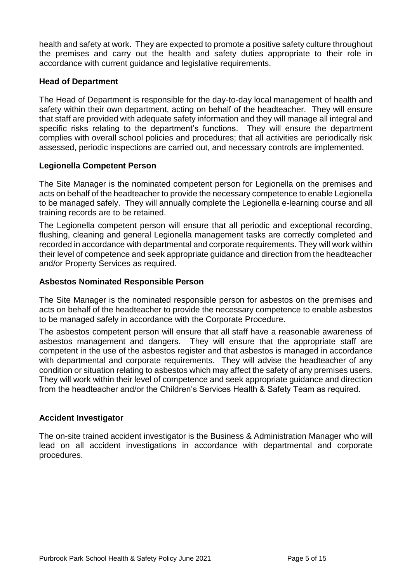health and safety at work. They are expected to promote a positive safety culture throughout the premises and carry out the health and safety duties appropriate to their role in accordance with current guidance and legislative requirements.

## **Head of Department**

The Head of Department is responsible for the day-to-day local management of health and safety within their own department, acting on behalf of the headteacher. They will ensure that staff are provided with adequate safety information and they will manage all integral and specific risks relating to the department's functions. They will ensure the department complies with overall school policies and procedures; that all activities are periodically risk assessed, periodic inspections are carried out, and necessary controls are implemented.

## **Legionella Competent Person**

The Site Manager is the nominated competent person for Legionella on the premises and acts on behalf of the headteacher to provide the necessary competence to enable Legionella to be managed safely. They will annually complete the Legionella e-learning course and all training records are to be retained.

The Legionella competent person will ensure that all periodic and exceptional recording, flushing, cleaning and general Legionella management tasks are correctly completed and recorded in accordance with departmental and corporate requirements. They will work within their level of competence and seek appropriate guidance and direction from the headteacher and/or Property Services as required.

## **Asbestos Nominated Responsible Person**

The Site Manager is the nominated responsible person for asbestos on the premises and acts on behalf of the headteacher to provide the necessary competence to enable asbestos to be managed safely in accordance with the Corporate Procedure.

The asbestos competent person will ensure that all staff have a reasonable awareness of asbestos management and dangers. They will ensure that the appropriate staff are competent in the use of the asbestos register and that asbestos is managed in accordance with departmental and corporate requirements. They will advise the headteacher of any condition or situation relating to asbestos which may affect the safety of any premises users. They will work within their level of competence and seek appropriate guidance and direction from the headteacher and/or the Children's Services Health & Safety Team as required.

## **Accident Investigator**

The on-site trained accident investigator is the Business & Administration Manager who will lead on all accident investigations in accordance with departmental and corporate procedures.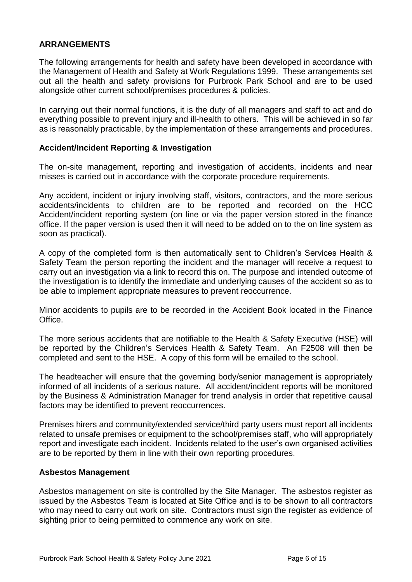## **ARRANGEMENTS**

The following arrangements for health and safety have been developed in accordance with the Management of Health and Safety at Work Regulations 1999. These arrangements set out all the health and safety provisions for Purbrook Park School and are to be used alongside other current school/premises procedures & policies.

In carrying out their normal functions, it is the duty of all managers and staff to act and do everything possible to prevent injury and ill-health to others. This will be achieved in so far as is reasonably practicable, by the implementation of these arrangements and procedures.

#### **Accident/Incident Reporting & Investigation**

The on-site management, reporting and investigation of accidents, incidents and near misses is carried out in accordance with the corporate procedure requirements.

Any accident, incident or injury involving staff, visitors, contractors, and the more serious accidents/incidents to children are to be reported and recorded on the HCC Accident/incident reporting system (on line or via the paper version stored in the finance office. If the paper version is used then it will need to be added on to the on line system as soon as practical).

A copy of the completed form is then automatically sent to Children's Services Health & Safety Team the person reporting the incident and the manager will receive a request to carry out an investigation via a link to record this on. The purpose and intended outcome of the investigation is to identify the immediate and underlying causes of the accident so as to be able to implement appropriate measures to prevent reoccurrence.

Minor accidents to pupils are to be recorded in the Accident Book located in the Finance **Office** 

The more serious accidents that are notifiable to the Health & Safety Executive (HSE) will be reported by the Children's Services Health & Safety Team. An F2508 will then be completed and sent to the HSE. A copy of this form will be emailed to the school.

The headteacher will ensure that the governing body/senior management is appropriately informed of all incidents of a serious nature. All accident/incident reports will be monitored by the Business & Administration Manager for trend analysis in order that repetitive causal factors may be identified to prevent reoccurrences.

Premises hirers and community/extended service/third party users must report all incidents related to unsafe premises or equipment to the school/premises staff, who will appropriately report and investigate each incident. Incidents related to the user's own organised activities are to be reported by them in line with their own reporting procedures.

#### **Asbestos Management**

Asbestos management on site is controlled by the Site Manager. The asbestos register as issued by the Asbestos Team is located at Site Office and is to be shown to all contractors who may need to carry out work on site. Contractors must sign the register as evidence of sighting prior to being permitted to commence any work on site.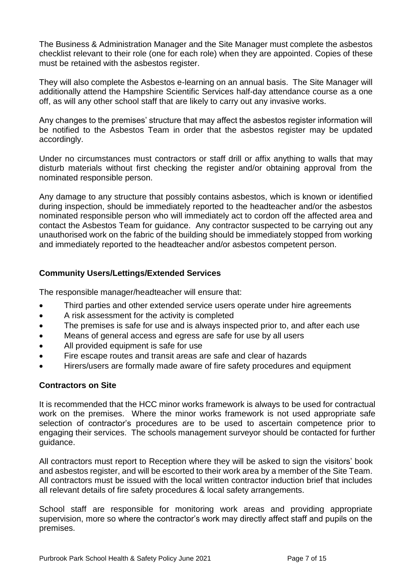The Business & Administration Manager and the Site Manager must complete the asbestos checklist relevant to their role (one for each role) when they are appointed. Copies of these must be retained with the asbestos register.

They will also complete the Asbestos e-learning on an annual basis. The Site Manager will additionally attend the Hampshire Scientific Services half-day attendance course as a one off, as will any other school staff that are likely to carry out any invasive works.

Any changes to the premises' structure that may affect the asbestos register information will be notified to the Asbestos Team in order that the asbestos register may be updated accordingly.

Under no circumstances must contractors or staff drill or affix anything to walls that may disturb materials without first checking the register and/or obtaining approval from the nominated responsible person.

Any damage to any structure that possibly contains asbestos, which is known or identified during inspection, should be immediately reported to the headteacher and/or the asbestos nominated responsible person who will immediately act to cordon off the affected area and contact the Asbestos Team for guidance. Any contractor suspected to be carrying out any unauthorised work on the fabric of the building should be immediately stopped from working and immediately reported to the headteacher and/or asbestos competent person.

# **Community Users/Lettings/Extended Services**

The responsible manager/headteacher will ensure that:

- Third parties and other extended service users operate under hire agreements
- A risk assessment for the activity is completed
- The premises is safe for use and is always inspected prior to, and after each use
- Means of general access and egress are safe for use by all users
- All provided equipment is safe for use
- Fire escape routes and transit areas are safe and clear of hazards
- Hirers/users are formally made aware of fire safety procedures and equipment

## **Contractors on Site**

It is recommended that the HCC minor works framework is always to be used for contractual work on the premises. Where the minor works framework is not used appropriate safe selection of contractor's procedures are to be used to ascertain competence prior to engaging their services. The schools management surveyor should be contacted for further guidance.

All contractors must report to Reception where they will be asked to sign the visitors' book and asbestos register, and will be escorted to their work area by a member of the Site Team. All contractors must be issued with the local written contractor induction brief that includes all relevant details of fire safety procedures & local safety arrangements.

School staff are responsible for monitoring work areas and providing appropriate supervision, more so where the contractor's work may directly affect staff and pupils on the premises.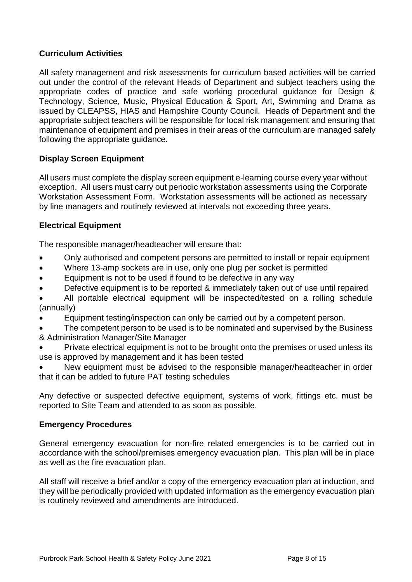# **Curriculum Activities**

All safety management and risk assessments for curriculum based activities will be carried out under the control of the relevant Heads of Department and subject teachers using the appropriate codes of practice and safe working procedural guidance for Design & Technology, Science, Music, Physical Education & Sport, Art, Swimming and Drama as issued by CLEAPSS, HIAS and Hampshire County Council. Heads of Department and the appropriate subject teachers will be responsible for local risk management and ensuring that maintenance of equipment and premises in their areas of the curriculum are managed safely following the appropriate guidance.

# **Display Screen Equipment**

All users must complete the display screen equipment e-learning course every year without exception. All users must carry out periodic workstation assessments using the Corporate Workstation Assessment Form. Workstation assessments will be actioned as necessary by line managers and routinely reviewed at intervals not exceeding three years.

## **Electrical Equipment**

The responsible manager/headteacher will ensure that:

- Only authorised and competent persons are permitted to install or repair equipment
- Where 13-amp sockets are in use, only one plug per socket is permitted
- Equipment is not to be used if found to be defective in any way
- Defective equipment is to be reported & immediately taken out of use until repaired
- All portable electrical equipment will be inspected/tested on a rolling schedule (annually)
- Equipment testing/inspection can only be carried out by a competent person.
- The competent person to be used is to be nominated and supervised by the Business & Administration Manager/Site Manager
- Private electrical equipment is not to be brought onto the premises or used unless its use is approved by management and it has been tested
- New equipment must be advised to the responsible manager/headteacher in order that it can be added to future PAT testing schedules

Any defective or suspected defective equipment, systems of work, fittings etc. must be reported to Site Team and attended to as soon as possible.

## **Emergency Procedures**

General emergency evacuation for non-fire related emergencies is to be carried out in accordance with the school/premises emergency evacuation plan. This plan will be in place as well as the fire evacuation plan.

All staff will receive a brief and/or a copy of the emergency evacuation plan at induction, and they will be periodically provided with updated information as the emergency evacuation plan is routinely reviewed and amendments are introduced.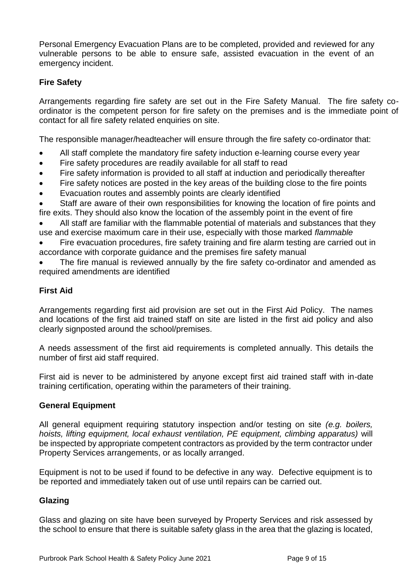Personal Emergency Evacuation Plans are to be completed, provided and reviewed for any vulnerable persons to be able to ensure safe, assisted evacuation in the event of an emergency incident.

# **Fire Safety**

Arrangements regarding fire safety are set out in the Fire Safety Manual. The fire safety coordinator is the competent person for fire safety on the premises and is the immediate point of contact for all fire safety related enquiries on site.

The responsible manager/headteacher will ensure through the fire safety co-ordinator that:

- All staff complete the mandatory fire safety induction e-learning course every year
- Fire safety procedures are readily available for all staff to read
- Fire safety information is provided to all staff at induction and periodically thereafter
- Fire safety notices are posted in the key areas of the building close to the fire points
- Evacuation routes and assembly points are clearly identified

• Staff are aware of their own responsibilities for knowing the location of fire points and fire exits. They should also know the location of the assembly point in the event of fire

• All staff are familiar with the flammable potential of materials and substances that they use and exercise maximum care in their use, especially with those marked *flammable*

• Fire evacuation procedures, fire safety training and fire alarm testing are carried out in accordance with corporate guidance and the premises fire safety manual

The fire manual is reviewed annually by the fire safety co-ordinator and amended as required amendments are identified

# **First Aid**

Arrangements regarding first aid provision are set out in the First Aid Policy. The names and locations of the first aid trained staff on site are listed in the first aid policy and also clearly signposted around the school/premises.

A needs assessment of the first aid requirements is completed annually. This details the number of first aid staff required.

First aid is never to be administered by anyone except first aid trained staff with in-date training certification, operating within the parameters of their training.

## **General Equipment**

All general equipment requiring statutory inspection and/or testing on site *(e.g. boilers, hoists, lifting equipment, local exhaust ventilation, PE equipment, climbing apparatus)* will be inspected by appropriate competent contractors as provided by the term contractor under Property Services arrangements, or as locally arranged.

Equipment is not to be used if found to be defective in any way. Defective equipment is to be reported and immediately taken out of use until repairs can be carried out.

## **Glazing**

Glass and glazing on site have been surveyed by Property Services and risk assessed by the school to ensure that there is suitable safety glass in the area that the glazing is located,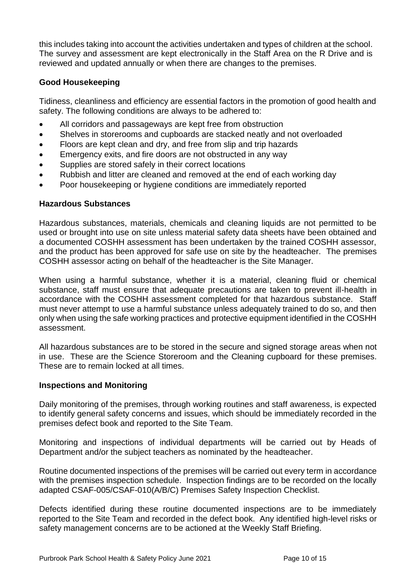this includes taking into account the activities undertaken and types of children at the school. The survey and assessment are kept electronically in the Staff Area on the R Drive and is reviewed and updated annually or when there are changes to the premises.

# **Good Housekeeping**

Tidiness, cleanliness and efficiency are essential factors in the promotion of good health and safety. The following conditions are always to be adhered to:

- All corridors and passageways are kept free from obstruction
- Shelves in storerooms and cupboards are stacked neatly and not overloaded
- Floors are kept clean and dry, and free from slip and trip hazards
- Emergency exits, and fire doors are not obstructed in any way
- Supplies are stored safely in their correct locations
- Rubbish and litter are cleaned and removed at the end of each working day
- Poor housekeeping or hygiene conditions are immediately reported

## **Hazardous Substances**

Hazardous substances, materials, chemicals and cleaning liquids are not permitted to be used or brought into use on site unless material safety data sheets have been obtained and a documented COSHH assessment has been undertaken by the trained COSHH assessor, and the product has been approved for safe use on site by the headteacher. The premises COSHH assessor acting on behalf of the headteacher is the Site Manager.

When using a harmful substance, whether it is a material, cleaning fluid or chemical substance, staff must ensure that adequate precautions are taken to prevent ill-health in accordance with the COSHH assessment completed for that hazardous substance. Staff must never attempt to use a harmful substance unless adequately trained to do so, and then only when using the safe working practices and protective equipment identified in the COSHH assessment.

All hazardous substances are to be stored in the secure and signed storage areas when not in use. These are the Science Storeroom and the Cleaning cupboard for these premises. These are to remain locked at all times.

## **Inspections and Monitoring**

Daily monitoring of the premises, through working routines and staff awareness, is expected to identify general safety concerns and issues, which should be immediately recorded in the premises defect book and reported to the Site Team.

Monitoring and inspections of individual departments will be carried out by Heads of Department and/or the subject teachers as nominated by the headteacher.

Routine documented inspections of the premises will be carried out every term in accordance with the premises inspection schedule. Inspection findings are to be recorded on the locally adapted CSAF-005/CSAF-010(A/B/C) Premises Safety Inspection Checklist.

Defects identified during these routine documented inspections are to be immediately reported to the Site Team and recorded in the defect book. Any identified high-level risks or safety management concerns are to be actioned at the Weekly Staff Briefing.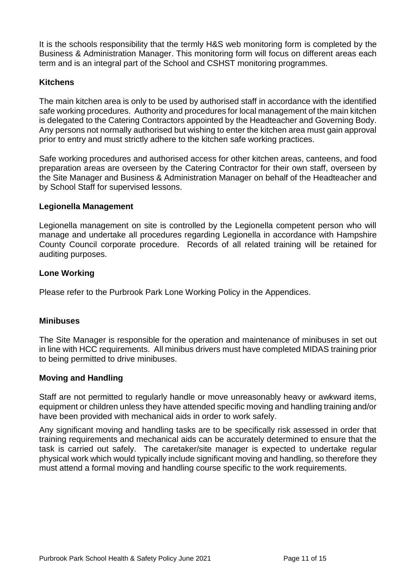It is the schools responsibility that the termly H&S web monitoring form is completed by the Business & Administration Manager. This monitoring form will focus on different areas each term and is an integral part of the School and CSHST monitoring programmes.

# **Kitchens**

The main kitchen area is only to be used by authorised staff in accordance with the identified safe working procedures. Authority and procedures for local management of the main kitchen is delegated to the Catering Contractors appointed by the Headteacher and Governing Body. Any persons not normally authorised but wishing to enter the kitchen area must gain approval prior to entry and must strictly adhere to the kitchen safe working practices.

Safe working procedures and authorised access for other kitchen areas, canteens, and food preparation areas are overseen by the Catering Contractor for their own staff, overseen by the Site Manager and Business & Administration Manager on behalf of the Headteacher and by School Staff for supervised lessons.

## **Legionella Management**

Legionella management on site is controlled by the Legionella competent person who will manage and undertake all procedures regarding Legionella in accordance with Hampshire County Council corporate procedure. Records of all related training will be retained for auditing purposes.

## **Lone Working**

Please refer to the Purbrook Park Lone Working Policy in the Appendices.

# **Minibuses**

The Site Manager is responsible for the operation and maintenance of minibuses in set out in line with HCC requirements. All minibus drivers must have completed MIDAS training prior to being permitted to drive minibuses.

## **Moving and Handling**

Staff are not permitted to regularly handle or move unreasonably heavy or awkward items, equipment or children unless they have attended specific moving and handling training and/or have been provided with mechanical aids in order to work safely.

Any significant moving and handling tasks are to be specifically risk assessed in order that training requirements and mechanical aids can be accurately determined to ensure that the task is carried out safely. The caretaker/site manager is expected to undertake regular physical work which would typically include significant moving and handling, so therefore they must attend a formal moving and handling course specific to the work requirements.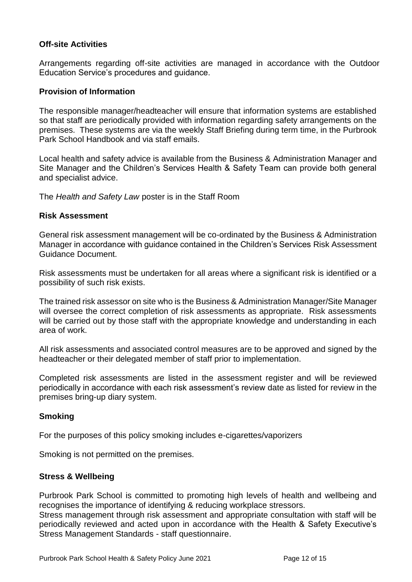## **Off-site Activities**

Arrangements regarding off-site activities are managed in accordance with the Outdoor Education Service's procedures and guidance.

#### **Provision of Information**

The responsible manager/headteacher will ensure that information systems are established so that staff are periodically provided with information regarding safety arrangements on the premises. These systems are via the weekly Staff Briefing during term time, in the Purbrook Park School Handbook and via staff emails.

Local health and safety advice is available from the Business & Administration Manager and Site Manager and the Children's Services Health & Safety Team can provide both general and specialist advice.

The *Health and Safety Law* poster is in the Staff Room

#### **Risk Assessment**

General risk assessment management will be co-ordinated by the Business & Administration Manager in accordance with guidance contained in the Children's Services Risk Assessment Guidance Document.

Risk assessments must be undertaken for all areas where a significant risk is identified or a possibility of such risk exists.

The trained risk assessor on site who is the Business & Administration Manager/Site Manager will oversee the correct completion of risk assessments as appropriate. Risk assessments will be carried out by those staff with the appropriate knowledge and understanding in each area of work.

All risk assessments and associated control measures are to be approved and signed by the headteacher or their delegated member of staff prior to implementation.

Completed risk assessments are listed in the assessment register and will be reviewed periodically in accordance with each risk assessment's review date as listed for review in the premises bring-up diary system.

## **Smoking**

For the purposes of this policy smoking includes e-cigarettes/vaporizers

Smoking is not permitted on the premises.

#### **Stress & Wellbeing**

Purbrook Park School is committed to promoting high levels of health and wellbeing and recognises the importance of identifying & reducing workplace stressors.

Stress management through risk assessment and appropriate consultation with staff will be periodically reviewed and acted upon in accordance with the Health & Safety Executive's Stress Management Standards - staff questionnaire.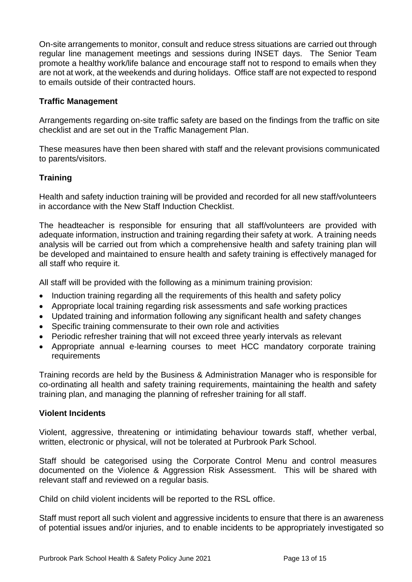On-site arrangements to monitor, consult and reduce stress situations are carried out through regular line management meetings and sessions during INSET days. The Senior Team promote a healthy work/life balance and encourage staff not to respond to emails when they are not at work, at the weekends and during holidays. Office staff are not expected to respond to emails outside of their contracted hours.

## **Traffic Management**

Arrangements regarding on-site traffic safety are based on the findings from the traffic on site checklist and are set out in the Traffic Management Plan.

These measures have then been shared with staff and the relevant provisions communicated to parents/visitors.

# **Training**

Health and safety induction training will be provided and recorded for all new staff/volunteers in accordance with the New Staff Induction Checklist.

The headteacher is responsible for ensuring that all staff/volunteers are provided with adequate information, instruction and training regarding their safety at work. A training needs analysis will be carried out from which a comprehensive health and safety training plan will be developed and maintained to ensure health and safety training is effectively managed for all staff who require it.

All staff will be provided with the following as a minimum training provision:

- Induction training regarding all the requirements of this health and safety policy
- Appropriate local training regarding risk assessments and safe working practices
- Updated training and information following any significant health and safety changes
- Specific training commensurate to their own role and activities
- Periodic refresher training that will not exceed three yearly intervals as relevant
- Appropriate annual e-learning courses to meet HCC mandatory corporate training requirements

Training records are held by the Business & Administration Manager who is responsible for co-ordinating all health and safety training requirements, maintaining the health and safety training plan, and managing the planning of refresher training for all staff.

#### **Violent Incidents**

Violent, aggressive, threatening or intimidating behaviour towards staff, whether verbal, written, electronic or physical, will not be tolerated at Purbrook Park School.

Staff should be categorised using the Corporate Control Menu and control measures documented on the Violence & Aggression Risk Assessment. This will be shared with relevant staff and reviewed on a regular basis.

Child on child violent incidents will be reported to the RSL office.

Staff must report all such violent and aggressive incidents to ensure that there is an awareness of potential issues and/or injuries, and to enable incidents to be appropriately investigated so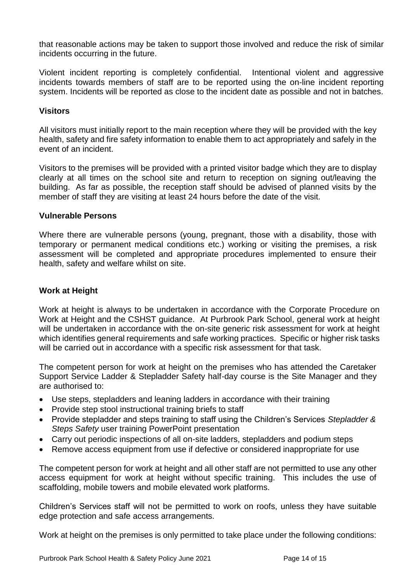that reasonable actions may be taken to support those involved and reduce the risk of similar incidents occurring in the future.

Violent incident reporting is completely confidential. Intentional violent and aggressive incidents towards members of staff are to be reported using the on-line incident reporting system. Incidents will be reported as close to the incident date as possible and not in batches.

# **Visitors**

All visitors must initially report to the main reception where they will be provided with the key health, safety and fire safety information to enable them to act appropriately and safely in the event of an incident.

Visitors to the premises will be provided with a printed visitor badge which they are to display clearly at all times on the school site and return to reception on signing out/leaving the building. As far as possible, the reception staff should be advised of planned visits by the member of staff they are visiting at least 24 hours before the date of the visit.

## **Vulnerable Persons**

Where there are vulnerable persons (young, pregnant, those with a disability, those with temporary or permanent medical conditions etc.) working or visiting the premises, a risk assessment will be completed and appropriate procedures implemented to ensure their health, safety and welfare whilst on site.

## **Work at Height**

Work at height is always to be undertaken in accordance with the Corporate Procedure on Work at Height and the CSHST guidance. At Purbrook Park School, general work at height will be undertaken in accordance with the on-site generic risk assessment for work at height which identifies general requirements and safe working practices. Specific or higher risk tasks will be carried out in accordance with a specific risk assessment for that task.

The competent person for work at height on the premises who has attended the Caretaker Support Service Ladder & Stepladder Safety half-day course is the Site Manager and they are authorised to:

- Use steps, stepladders and leaning ladders in accordance with their training
- Provide step stool instructional training briefs to staff
- Provide stepladder and steps training to staff using the Children's Services *Stepladder & Steps Safety* user training PowerPoint presentation
- Carry out periodic inspections of all on-site ladders, stepladders and podium steps
- Remove access equipment from use if defective or considered inappropriate for use

The competent person for work at height and all other staff are not permitted to use any other access equipment for work at height without specific training. This includes the use of scaffolding, mobile towers and mobile elevated work platforms.

Children's Services staff will not be permitted to work on roofs, unless they have suitable edge protection and safe access arrangements.

Work at height on the premises is only permitted to take place under the following conditions: